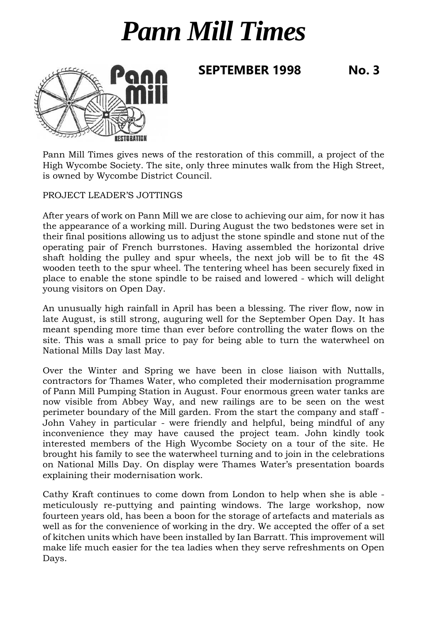## *Pann Mill Times*





Pann Mill Times gives news of the restoration of this commill, a project of the High Wycombe Society. The site, only three minutes walk from the High Street, is owned by Wycombe District Council.

PROJECT LEADER'S JOTTINGS

After years of work on Pann Mill we are close to achieving our aim, for now it has the appearance of a working mill. During August the two bedstones were set in their final positions allowing us to adjust the stone spindle and stone nut of the operating pair of French burrstones. Having assembled the horizontal drive shaft holding the pulley and spur wheels, the next job will be to fit the 4S wooden teeth to the spur wheel. The tentering wheel has been securely fixed in place to enable the stone spindle to be raised and lowered - which will delight young visitors on Open Day.

An unusually high rainfall in April has been a blessing. The river flow, now in late August, is still strong, auguring well for the September Open Day. It has meant spending more time than ever before controlling the water flows on the site. This was a small price to pay for being able to turn the waterwheel on National Mills Day last May.

Over the Winter and Spring we have been in close liaison with Nuttalls, contractors for Thames Water, who completed their modernisation programme of Pann Mill Pumping Station in August. Four enormous green water tanks are now visible from Abbey Way, and new railings are to be seen on the west perimeter boundary of the Mill garden. From the start the company and staff - John Vahey in particular - were friendly and helpful, being mindful of any inconvenience they may have caused the project team. John kindly took interested members of the High Wycombe Society on a tour of the site. He brought his family to see the waterwheel turning and to join in the celebrations on National Mills Day. On display were Thames Water's presentation boards explaining their modernisation work.

Cathy Kraft continues to come down from London to help when she is able meticulously re-puttying and painting windows. The large workshop, now fourteen years old, has been a boon for the storage of artefacts and materials as well as for the convenience of working in the dry. We accepted the offer of a set of kitchen units which have been installed by Ian Barratt. This improvement will make life much easier for the tea ladies when they serve refreshments on Open Days.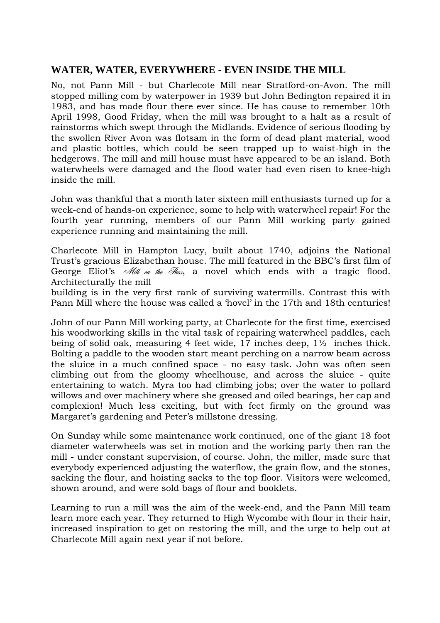## **WATER, WATER, EVERYWHERE - EVEN INSIDE THE MILL**

No, not Pann Mill - but Charlecote Mill near Stratford-on-Avon. The mill stopped milling com by waterpower in 1939 but John Bedington repaired it in 1983, and has made flour there ever since. He has cause to remember 10th April 1998, Good Friday, when the mill was brought to a halt as a result of rainstorms which swept through the Midlands. Evidence of serious flooding by the swollen River Avon was flotsam in the form of dead plant material, wood and plastic bottles, which could be seen trapped up to waist-high in the hedgerows. The mill and mill house must have appeared to be an island. Both waterwheels were damaged and the flood water had even risen to knee-high inside the mill.

John was thankful that a month later sixteen mill enthusiasts turned up for a week-end of hands-on experience, some to help with waterwheel repair! For the fourth year running, members of our Pann Mill working party gained experience running and maintaining the mill.

Charlecote Mill in Hampton Lucy, built about 1740, adjoins the National Trust's gracious Elizabethan house. The mill featured in the BBC's first film of George Eliot's *Mill on the Hoss*, a novel which ends with a tragic flood. Architecturally the mill

building is in the very first rank of surviving watermills. Contrast this with Pann Mill where the house was called a 'hovel' in the 17th and 18th centuries!

John of our Pann Mill working party, at Charlecote for the first time, exercised his woodworking skills in the vital task of repairing waterwheel paddles, each being of solid oak, measuring 4 feet wide, 17 inches deep, 1½ inches thick. Bolting a paddle to the wooden start meant perching on a narrow beam across the sluice in a much confined space - no easy task. John was often seen climbing out from the gloomy wheelhouse, and across the sluice - quite entertaining to watch. Myra too had climbing jobs; over the water to pollard willows and over machinery where she greased and oiled bearings, her cap and complexion! Much less exciting, but with feet firmly on the ground was Margaret's gardening and Peter's millstone dressing.

On Sunday while some maintenance work continued, one of the giant 18 foot diameter waterwheels was set in motion and the working party then ran the mill - under constant supervision, of course. John, the miller, made sure that everybody experienced adjusting the waterflow, the grain flow, and the stones, sacking the flour, and hoisting sacks to the top floor. Visitors were welcomed, shown around, and were sold bags of flour and booklets.

Learning to run a mill was the aim of the week-end, and the Pann Mill team learn more each year. They returned to High Wycombe with flour in their hair, increased inspiration to get on restoring the mill, and the urge to help out at Charlecote Mill again next year if not before.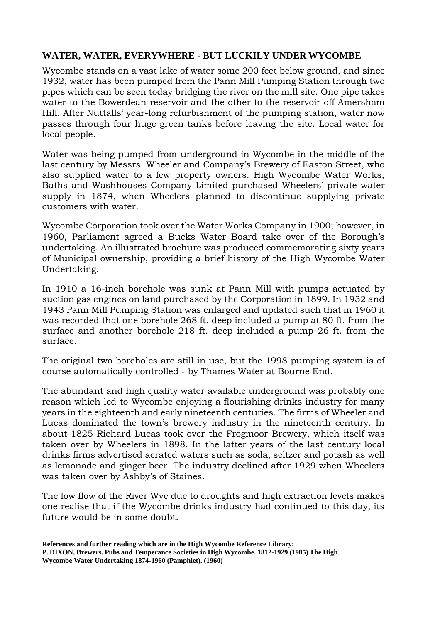## **WATER, WATER, EVERYWHERE - BUT LUCKILY UNDER WYCOMBE**

Wycombe stands on a vast lake of water some 200 feet below ground, and since 1932, water has been pumped from the Pann Mill Pumping Station through two pipes which can be seen today bridging the river on the mill site. One pipe takes water to the Bowerdean reservoir and the other to the reservoir off Amersham Hill. After Nuttalls' year-long refurbishment of the pumping station, water now passes through four huge green tanks before leaving the site. Local water for local people.

Water was being pumped from underground in Wycombe in the middle of the last century by Messrs. Wheeler and Company's Brewery of Easton Street, who also supplied water to a few property owners. High Wycombe Water Works, Baths and Washhouses Company Limited purchased Wheelers' private water supply in 1874, when Wheelers planned to discontinue supplying private customers with water.

Wycombe Corporation took over the Water Works Company in 1900; however, in 1960, Parliament agreed a Bucks Water Board take over of the Borough's undertaking. An illustrated brochure was produced commemorating sixty years of Municipal ownership, providing a brief history of the High Wycombe Water Undertaking.

In 1910 a 16-inch borehole was sunk at Pann Mill with pumps actuated by suction gas engines on land purchased by the Corporation in 1899. In 1932 and 1943 Pann Mill Pumping Station was enlarged and updated such that in 1960 it was recorded that one borehole 268 ft. deep included a pump at 80 ft. from the surface and another borehole 218 ft. deep included a pump 26 ft. from the surface.

The original two boreholes are still in use, but the 1998 pumping system is of course automatically controlled - by Thames Water at Bourne End.

The abundant and high quality water available underground was probably one reason which led to Wycombe enjoying a flourishing drinks industry for many years in the eighteenth and early nineteenth centuries. The firms of Wheeler and Lucas dominated the town's brewery industry in the nineteenth century. In about 1825 Richard Lucas took over the Frogmoor Brewery, which itself was taken over by Wheelers in 1898. In the latter years of the last century local drinks firms advertised aerated waters such as soda, seltzer and potash as well as lemonade and ginger beer. The industry declined after 1929 when Wheelers was taken over by Ashby's of Staines.

The low flow of the River Wye due to droughts and high extraction levels makes one realise that if the Wycombe drinks industry had continued to this day, its future would be in some doubt.